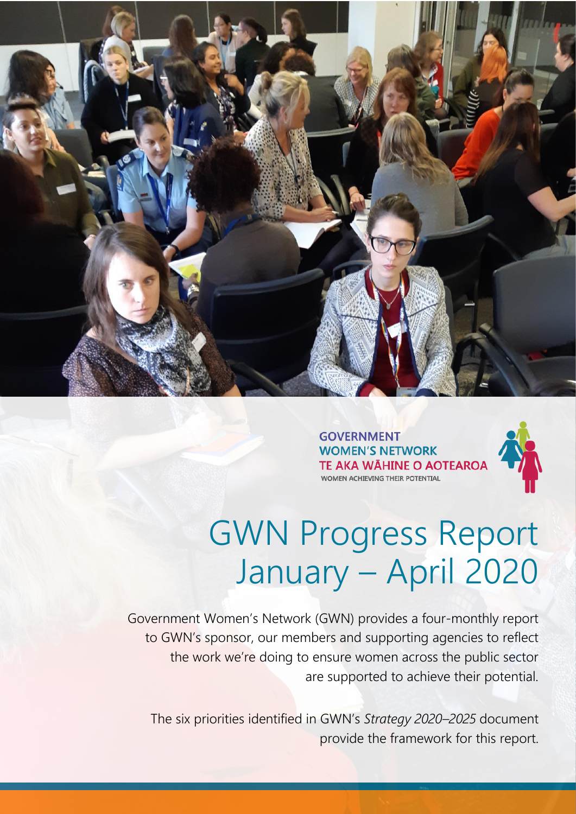

**GOVERNMENT WOMEN'S NETWORK** TE AKA WĀHINE O AOTEAROA WOMEN ACHIEVING THEIR POTENTIAL



## GWN Progress Report January – April 2020

Government Women's Network (GWN) provides a four-monthly report to GWN's sponsor, our members and supporting agencies to reflect the work we're doing to ensure women across the public sector are supported to achieve their potential.

The six priorities identified in GWN's *Strategy 2020–2025* document provide the framework for this report.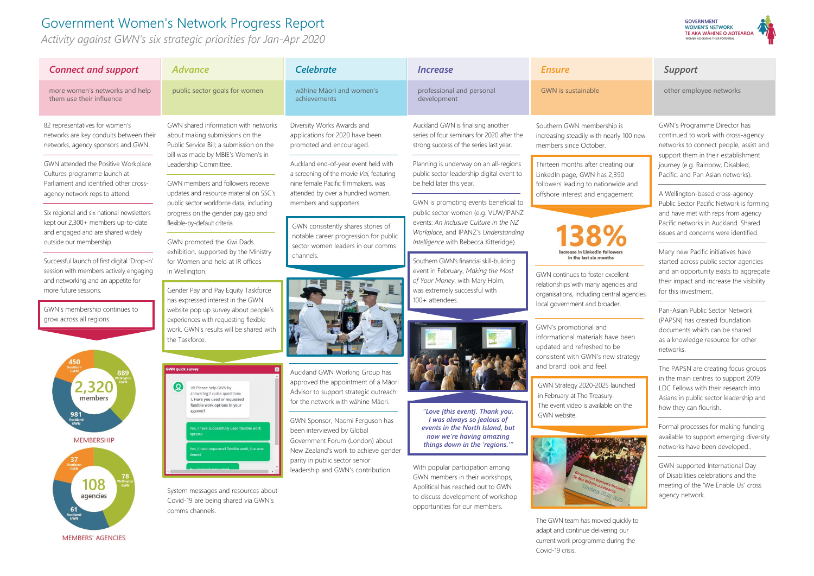Covid-19 crisis.

other employee networks

rly 100 new

ng our vide and ement



ellent ncies and ral agencies,

e been strategy

unched



quickly to g our

## Government Women's Network Progress Report

*Activity against GWN's six strategic priorities for Jan-Apr 2020*

| <b>Connect and support</b>                                                                                                                                                                                                                                              | <b>Advance</b>                                                                                                                                                                                                                                                                                                                                                                           | <b>Celebrate</b>                                                                                                                                                                                                                                                                                                                                                         | <i><u><b>Increase</b></u></i>                                                                                                                                                                                                                                                                                                                    | <b>Ensure</b>                                                                                                                                                                                                                                                                                                                                                                                                                                                                                                                                                                                                                                                           |
|-------------------------------------------------------------------------------------------------------------------------------------------------------------------------------------------------------------------------------------------------------------------------|------------------------------------------------------------------------------------------------------------------------------------------------------------------------------------------------------------------------------------------------------------------------------------------------------------------------------------------------------------------------------------------|--------------------------------------------------------------------------------------------------------------------------------------------------------------------------------------------------------------------------------------------------------------------------------------------------------------------------------------------------------------------------|--------------------------------------------------------------------------------------------------------------------------------------------------------------------------------------------------------------------------------------------------------------------------------------------------------------------------------------------------|-------------------------------------------------------------------------------------------------------------------------------------------------------------------------------------------------------------------------------------------------------------------------------------------------------------------------------------------------------------------------------------------------------------------------------------------------------------------------------------------------------------------------------------------------------------------------------------------------------------------------------------------------------------------------|
| more women's networks and help<br>them use their influence                                                                                                                                                                                                              | public sector goals for women                                                                                                                                                                                                                                                                                                                                                            | wāhine Māori and women's<br>achievements                                                                                                                                                                                                                                                                                                                                 | professional and personal<br>development                                                                                                                                                                                                                                                                                                         | <b>GWN</b> is sustainable                                                                                                                                                                                                                                                                                                                                                                                                                                                                                                                                                                                                                                               |
| 82 representatives for women's<br>networks are key conduits between their<br>networks, agency sponsors and GWN.                                                                                                                                                         | GWN shared information with networks<br>about making submissions on the<br>Public Service Bill; a submission on the<br>bill was made by MBIE's Women's in                                                                                                                                                                                                                                | Diversity Works Awards and<br>applications for 2020 have been<br>promoted and encouraged.                                                                                                                                                                                                                                                                                | Auckland GWN is finalising another<br>series of four seminars for 2020 after the<br>strong success of the series last year.                                                                                                                                                                                                                      | Southern GWN membership is<br>increasing steadily with nearly 100 r<br>members since October.                                                                                                                                                                                                                                                                                                                                                                                                                                                                                                                                                                           |
| GWN attended the Positive Workplace<br>Cultures programme launch at<br>Parliament and identified other cross-<br>agency network reps to attend.<br>Six regional and six national newsletters<br>kept our 2,300+ members up-to-date<br>and engaged and are shared widely | Leadership Committee.<br>GWN members and followers receive<br>updates and resource material on SSC's<br>public sector workforce data, including<br>progress on the gender pay gap and<br>flexible-by-default criteria.                                                                                                                                                                   | Auckland end-of-year event held with<br>a screening of the movie Vai, featuring<br>nine female Pacific filmmakers, was<br>attended by over a hundred women,<br>members and supporters.<br>GWN consistently shares stories of<br>notable career progression for public                                                                                                    | Planning is underway on an all-regions<br>public sector leadership digital event to<br>be held later this year.<br>GWN is promoting events beneficial to<br>public sector women (e.g. VUW/IPANZ<br>events: An Inclusive Culture in the NZ<br>Workplace, and IPANZ's Understanding                                                                | Thirteen months after creating our<br>LinkedIn page, GWN has 2,390<br>followers leading to nationwide and<br>offshore interest and engagement                                                                                                                                                                                                                                                                                                                                                                                                                                                                                                                           |
| outside our membership.<br>Successful launch of first digital 'Drop-in'<br>session with members actively engaging<br>and networking and an appetite for<br>more future sessions.<br>GWN's membership continues to<br>grow across all regions.                           | GWN promoted the Kiwi Dads<br>exhibition, supported by the Ministry<br>for Women and held at IR offices<br>in Wellington.<br>Gender Pay and Pay Equity Taskforce<br>has expressed interest in the GWN<br>website pop up survey about people's<br>experiences with requesting flexible<br>work. GWN's results will be shared with<br>the Taskforce.                                       | sector women leaders in our comms<br>channels.                                                                                                                                                                                                                                                                                                                           | Intelligence with Rebecca Kitteridge).<br>Southern GWN's financial skill-building<br>event in February, Making the Most<br>of Your Money, with Mary Holm,<br>was extremely successful with<br>100+ attendees.                                                                                                                                    | increase in LinkedIn followers<br>in the last six months<br>GWN continues to foster excellent<br>relationships with many agencies and<br>organisations, including central agen<br>local government and broader.<br>GWN's promotional and<br>informational materials have been<br>updated and refreshed to be<br>consistent with GWN's new strated<br>and brand look and feel.<br>GWN Strategy 2020-2025 launched<br>in February at The Treasury.<br>The event video is available on the<br>GWN website.<br>ernment Women's Network<br>Strategy 2020-2025<br>The GWN team has moved quickly to<br>adapt and continue delivering our<br>current work programme during the |
| 50<br>889<br>members<br>981<br>Auckland<br>GWN<br><b>MEMBERSHIP</b><br>37<br>Southern<br>GWN<br>78<br>ellingt<br>GWN<br>108<br>agencies<br>61<br>Auckland<br><b>GWN</b><br><b>MEMBERS' AGENCIES</b>                                                                     | <b>GWN quick survey</b><br>ହ<br>Hi! Please help GWN by<br>answering 2 quick questions:<br>1. Have you used or requested<br>flexible work options in your<br>agency?<br>Yes, I have successfully used flexible work<br>options<br>Yes, I have requested flexible work, but was<br>denied<br>System messages and resources about<br>Covid-19 are being shared via GWN's<br>comms channels. | Auckland GWN Working Group has<br>approved the appointment of a Māori<br>Advisor to support strategic outreach<br>for the network with wāhine Māori.<br>GWN Sponsor, Naomi Ferguson has<br>been interviewed by Global<br>Government Forum (London) about<br>New Zealand's work to achieve gender<br>parity in public sector senior<br>leadership and GWN's contribution. | "Love [this event]. Thank you.<br>I was always so jealous of<br>events in the North Island, but<br>now we're having amazing<br>things down in the 'regions."<br>With popular participation among<br>GWN members in their workshops,<br>Apolitical has reached out to GWN<br>to discuss development of workshop<br>opportunities for our members. |                                                                                                                                                                                                                                                                                                                                                                                                                                                                                                                                                                                                                                                                         |

## **GOVERNMENT WOMEN'S NETWORK TE AKA WÄHINE O AOTEAROA**

GWN's Programme Director has continued to work with cross-agency networks to connect people, assist and support them in their establishment journey (e.g. Rainbow, Disabled, Pacific, and Pan Asian networks).

A Wellington-based cross-agency Public Sector Pacific Network is forming and have met with reps from agency Pacific networks in Auckland. Shared issues and concerns were identified.

Many new Pacific initiatives have started across public sector agencies and an opportunity exists to aggregate their impact and increase the visibility for this investment.

Pan-Asian Public Sector Network (PAPSN) has created foundation documents which can be shared as a knowledge resource for other networks.

The PAPSN are creating focus groups in the main centres to support 2019 LDC Fellows with their research into Asians in public sector leadership and how they can flourish.

Formal processes for making funding available to support emerging diversity networks have been developed..

GWN supported International Day of Disabilities celebrations and the meeting of the 'We Enable Us' cross agency network.